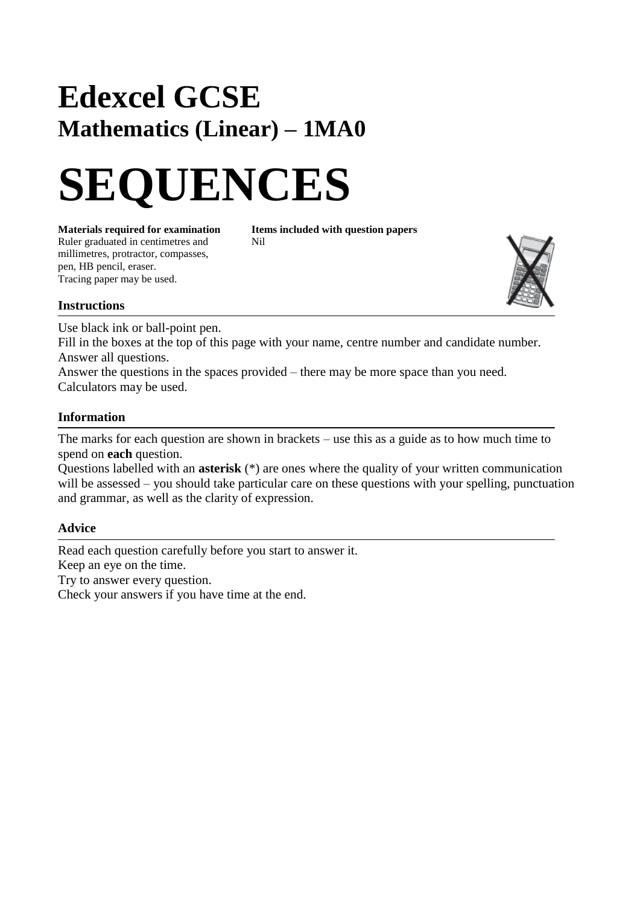# **Edexcel GCSE Mathematics (Linear) – 1MA0**



**Materials required for examination Items included with question papers**<br>Ruler graduated in centimetres and **Nil** Ruler graduated in centimetres and millimetres, protractor, compasses, pen, HB pencil, eraser. Tracing paper may be used.



#### **Instructions**

Use black ink or ball-point pen.

Fill in the boxes at the top of this page with your name, centre number and candidate number. Answer all questions.

Answer the questions in the spaces provided – there may be more space than you need. Calculators may be used.

#### **Information**

The marks for each question are shown in brackets – use this as a guide as to how much time to spend on **each** question.

Questions labelled with an **asterisk** (\*) are ones where the quality of your written communication will be assessed – you should take particular care on these questions with your spelling, punctuation and grammar, as well as the clarity of expression.

### **Advice**

Read each question carefully before you start to answer it. Keep an eye on the time. Try to answer every question. Check your answers if you have time at the end.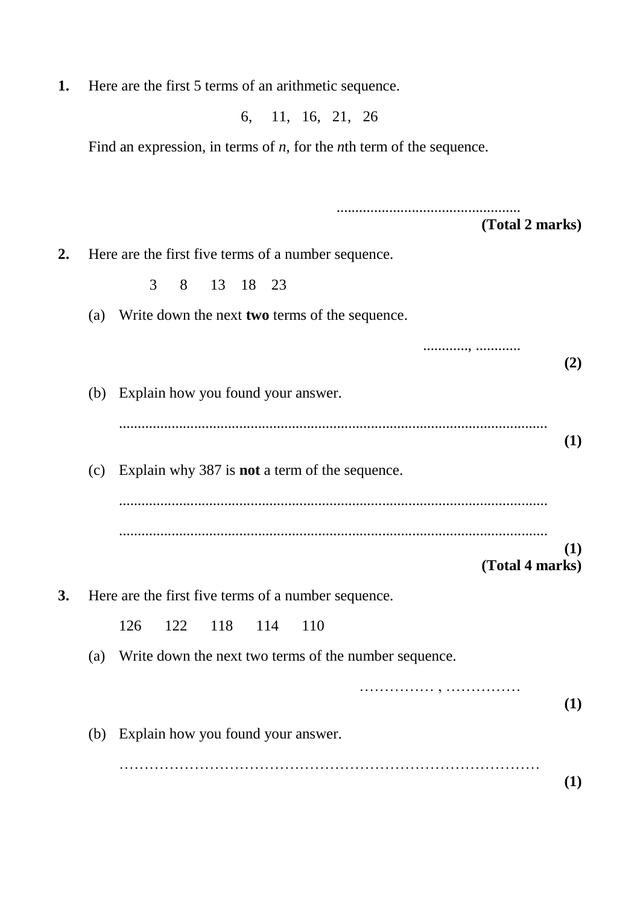**1.** Here are the first 5 terms of an arithmetic sequence.

6, 11, 16, 21, 26

Find an expression, in terms of *n*, for the *n*th term of the sequence.

................................................. **(Total 2 marks) 2.** Here are the first five terms of a number sequence. 3 8 13 18 23 (a) Write down the next **two** terms of the sequence. ............, ............ **(2)** (b) Explain how you found your answer. .................................................................................................................. **(1)** (c) Explain why 387 is **not** a term of the sequence. .................................................................................................................. .................................................................................................................. **(1) (Total 4 marks) 3.** Here are the first five terms of a number sequence. 126 122 118 114 110 (a) Write down the next two terms of the number sequence. …………… , …………… **(1)** (b) Explain how you found your answer. ………………………………………………………………………… **(1)**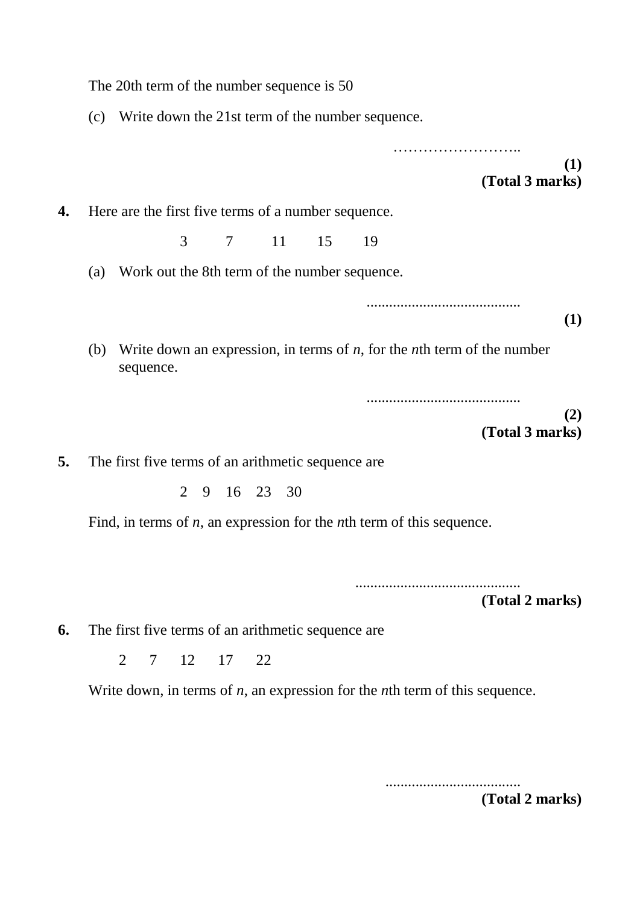|    | The 20th term of the number sequence is 50                                                             |  |  |  |  |  |  |
|----|--------------------------------------------------------------------------------------------------------|--|--|--|--|--|--|
|    | (c) Write down the 21st term of the number sequence.                                                   |  |  |  |  |  |  |
|    | (1)<br>(Total 3 marks)                                                                                 |  |  |  |  |  |  |
| 4. | Here are the first five terms of a number sequence.                                                    |  |  |  |  |  |  |
|    | 3<br>7 11<br>15<br>19                                                                                  |  |  |  |  |  |  |
|    | Work out the 8th term of the number sequence.<br>(a)                                                   |  |  |  |  |  |  |
|    | (1)                                                                                                    |  |  |  |  |  |  |
|    | Write down an expression, in terms of $n$ , for the <i>n</i> th term of the number<br>(b)<br>sequence. |  |  |  |  |  |  |
|    | (2)<br>(Total 3 marks)                                                                                 |  |  |  |  |  |  |
| 5. | The first five terms of an arithmetic sequence are                                                     |  |  |  |  |  |  |
|    | 2 9 16 23 30                                                                                           |  |  |  |  |  |  |
|    | Find, in terms of $n$ , an expression for the $n$ th term of this sequence.                            |  |  |  |  |  |  |
|    |                                                                                                        |  |  |  |  |  |  |
|    | (Total 2 marks)                                                                                        |  |  |  |  |  |  |
| 6. | The first five terms of an arithmetic sequence are                                                     |  |  |  |  |  |  |
|    | 7 12 17 22<br>2                                                                                        |  |  |  |  |  |  |
|    | Write down, in terms of $n$ , an expression for the $n$ th term of this sequence.                      |  |  |  |  |  |  |

....................................

**(Total 2 marks)**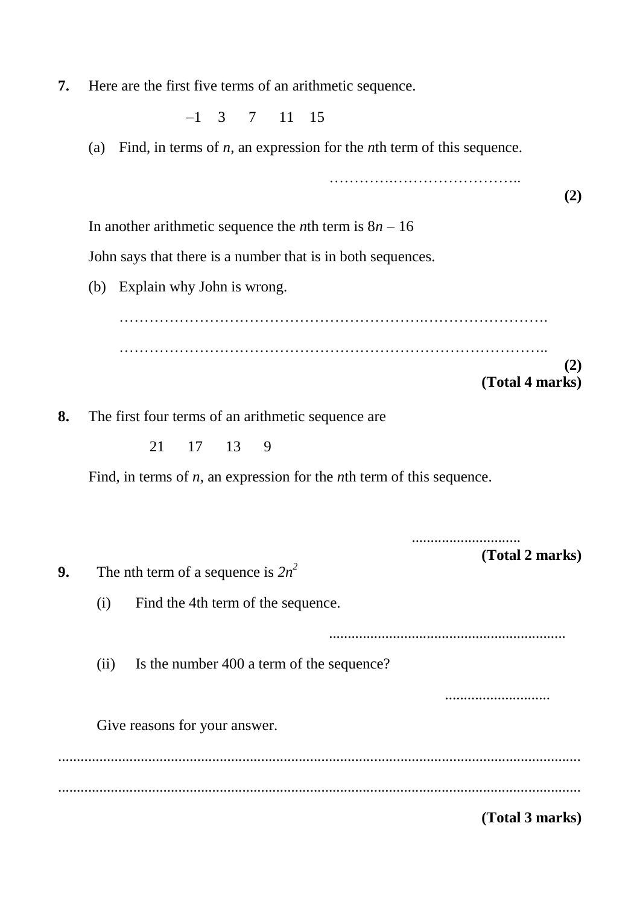**7.** Here are the first five terms of an arithmetic sequence.

 $-1$  3 7 11 15

(a) Find, in terms of *n*, an expression for the *n*th term of this sequence.

………….…………………….. **(2)** In another arithmetic sequence the *n*th term is  $8n - 16$ John says that there is a number that is in both sequences. (b) Explain why John is wrong. …………………………………………………….……………………. ………………………………………………………………………….. **(2) (Total 4 marks) 8.** The first four terms of an arithmetic sequence are 21 17 13 9 Find, in terms of *n*, an expression for the *n*th term of this sequence. ............................. **(Total 2 marks) 9.** The nth term of a sequence is  $2n^2$ (i) Find the 4th term of the sequence. ............................................................... (ii) Is the number 400 a term of the sequence? ............................ Give reasons for your answer. ........................................................................................................................................... ...........................................................................................................................................

**(Total 3 marks)**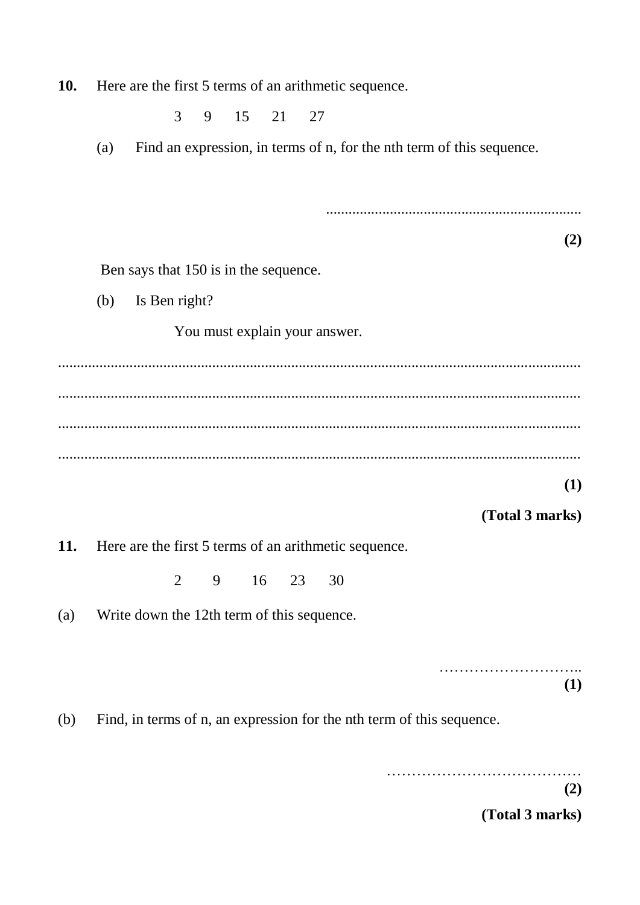**10.** Here are the first 5 terms of an arithmetic sequence.

3 9 15 21 27

(a) Find an expression, in terms of n, for the nth term of this sequence.

**(2)** Ben says that 150 is in the sequence. (b) Is Ben right? You must explain your answer. ........................................................................................................................................... ........................................................................................................................................... ........................................................................................................................................... ...........................................................................................................................................

**(1)**

## **(Total 3 marks)**

....................................................................

**11.** Here are the first 5 terms of an arithmetic sequence.

2 9 16 23 30

(a) Write down the 12th term of this sequence.

……………………….. **(1)**

(b) Find, in terms of n, an expression for the nth term of this sequence.

…………………………………

**(2)**

**(Total 3 marks)**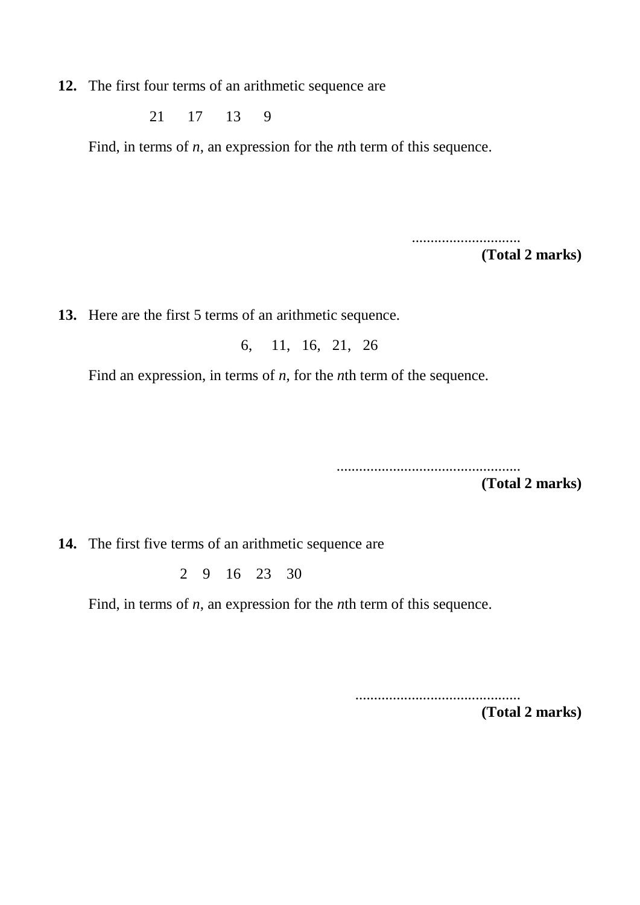**12.** The first four terms of an arithmetic sequence are

21 17 13 9

Find, in terms of *n*, an expression for the *n*th term of this sequence.

.............................

**(Total 2 marks)**

**13.** Here are the first 5 terms of an arithmetic sequence.

6, 11, 16, 21, 26

Find an expression, in terms of *n*, for the *n*th term of the sequence.

.................................................

**(Total 2 marks)**

**14.** The first five terms of an arithmetic sequence are

2 9 16 23 30

Find, in terms of *n*, an expression for the *n*th term of this sequence.

............................................

**(Total 2 marks)**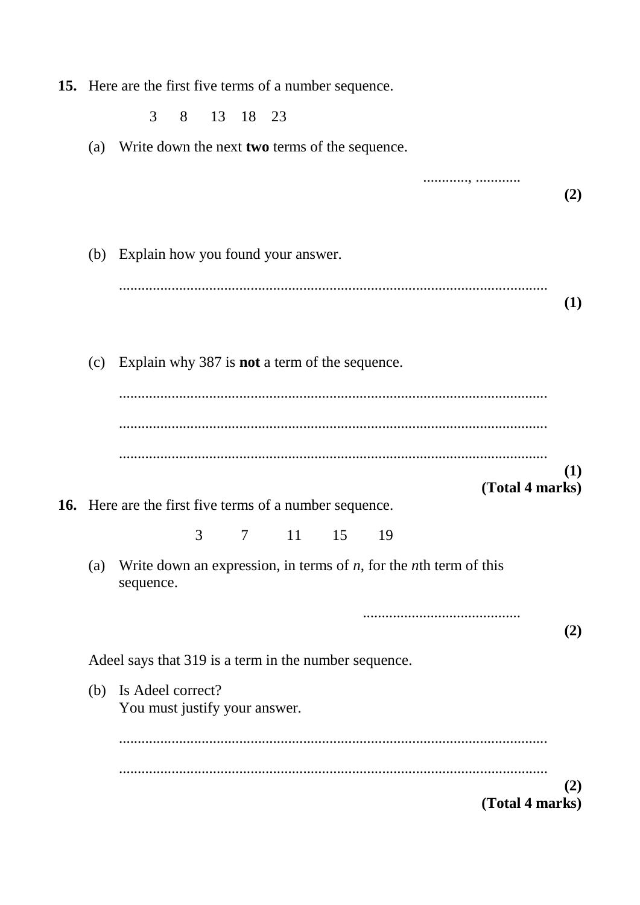**15.** Here are the first five terms of a number sequence.

3 8 13 18 23

- (a) Write down the next **two** terms of the sequence.
- ............, ............ **(2)** (b) Explain how you found your answer. .................................................................................................................. **(1)** (c) Explain why 387 is **not** a term of the sequence. .................................................................................................................. .................................................................................................................. .................................................................................................................. **(1) (Total 4 marks) 16.** Here are the first five terms of a number sequence. 3 7 11 15 19 (a) Write down an expression, in terms of *n*, for the *n*th term of this sequence. .......................................... **(2)** Adeel says that 319 is a term in the number sequence. (b) Is Adeel correct? You must justify your answer. .................................................................................................................. .................................................................................................................. **(2) (Total 4 marks)**